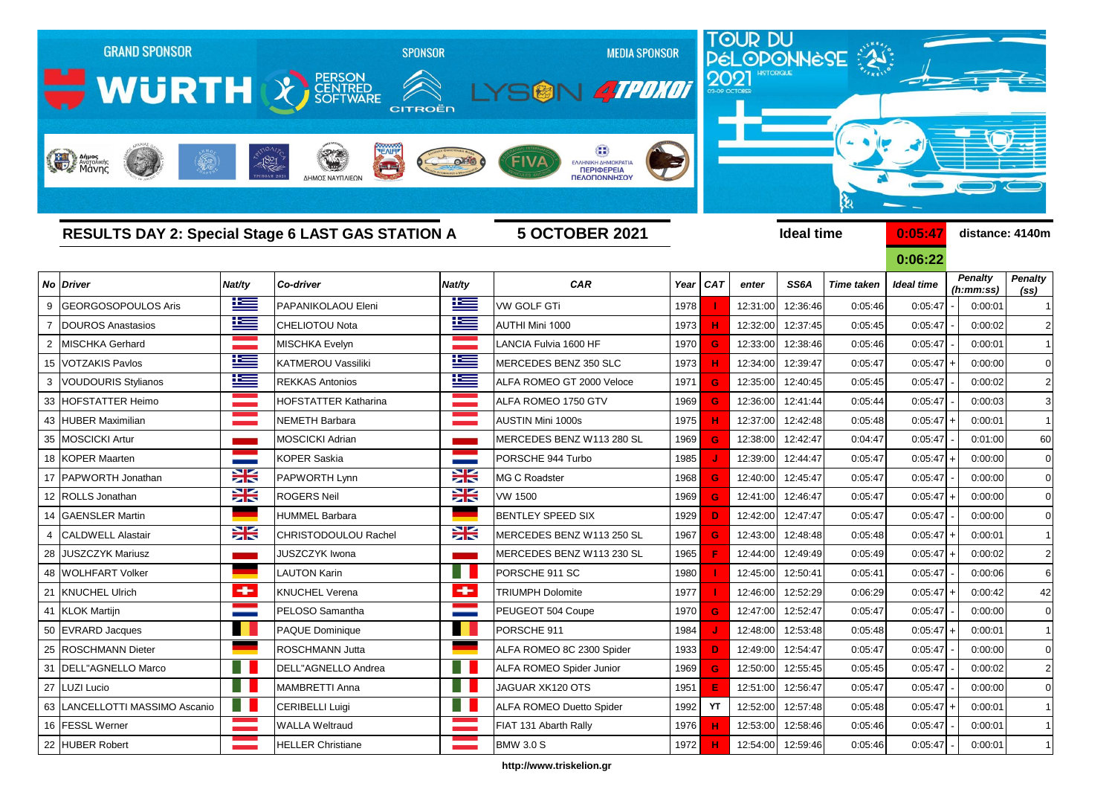

**http://www.triskelion.gr**

 FESSL Werner WALLA Weltraud FIAT 131 Abarth Rally 1976 **H** 12:53:00 12:58:46 0:05:46 0:05:47 - 0:00:01 1 HUBER Robert HELLER Christiane BMW 3.0 S 1972 **H** 12:54:00 12:59:46 0:05:46 0:05:47 - 0:00:01 1

 KLOK Martijn PELOSO Samantha PEUGEOT 504 Coupe 1970 **G** 12:47:00 12:52:47 0:05:47 0:05:47 - 0:00:00 0 EVRARD Jacques PAQUE Dominique PORSCHE 911 1984  **J**  12:48:00 12:53:48 0:05:48 0:05:47 + 0:00:01 1 25 ROSCHMANN Dieter **ROSCHMANN Jutta ALFA ROMEO 8C 2300 Spider** 1933 **D** 12:49:00 12:54:47 0:05:47 0:05:47 - 0:00:00 0 31 |DELL"AGNELLO Marco | | | | |DELL"AGNELLO Andrea | | | | | |ALFA ROMEO Spider Junior | 1969 **G** 12:50:00 | 12:55:45 0:05:45 0:05:47 | 0:00:02 | 2 LUZI Lucio MAMBRETTI Anna JAGUAR XK120 OTS 1951 **E** 12:51:00 12:56:47 0:05:47 0:05:47 - 0:00:00 0

LANCELLOTTI MASSIMO Ascanio CERIBELLI Luigi ALFA ROMEO Duetto Spider 1992  **YT**  12:52:00 12:57:48 0:05:48 0:05:47 + 0:00:01 1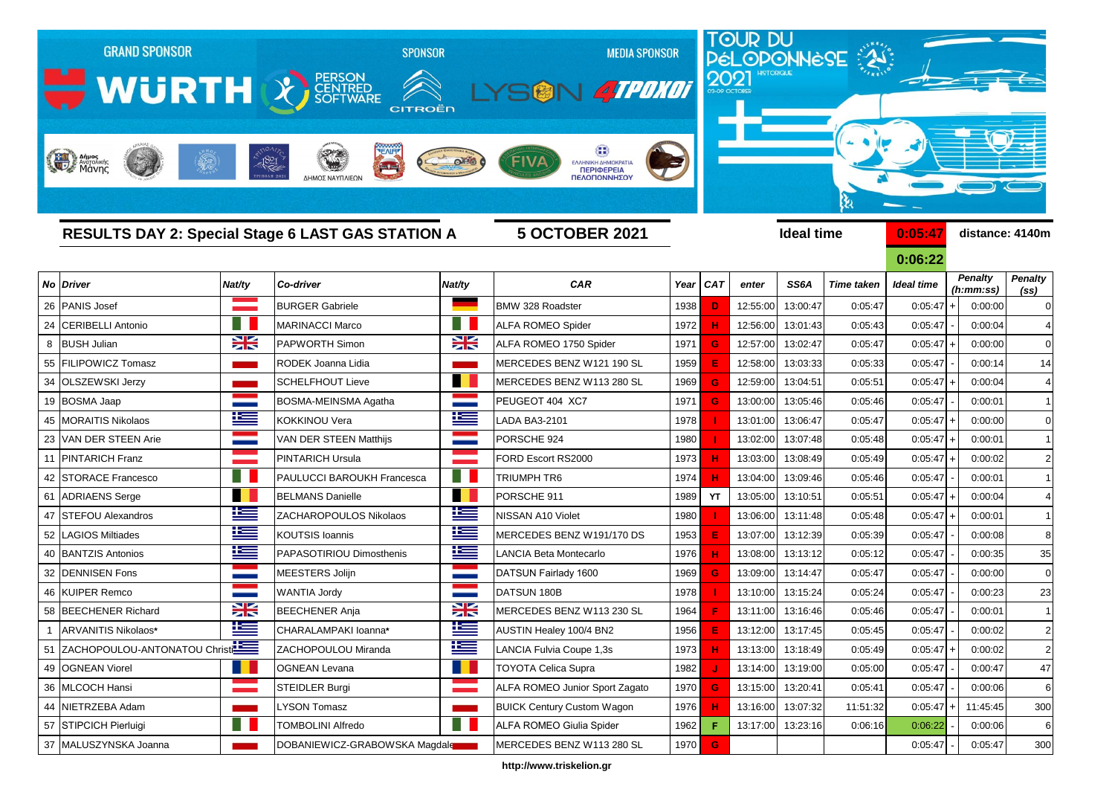

**http://www.triskelion.gr**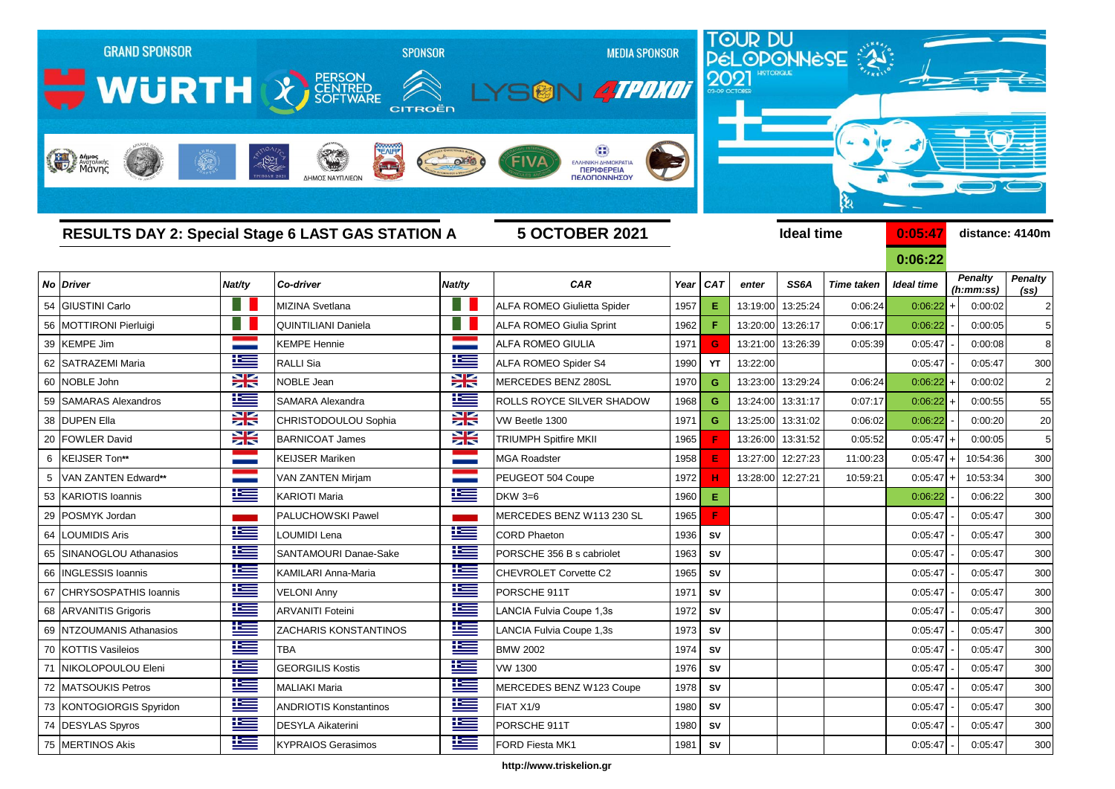

**http://www.triskelion.gr**